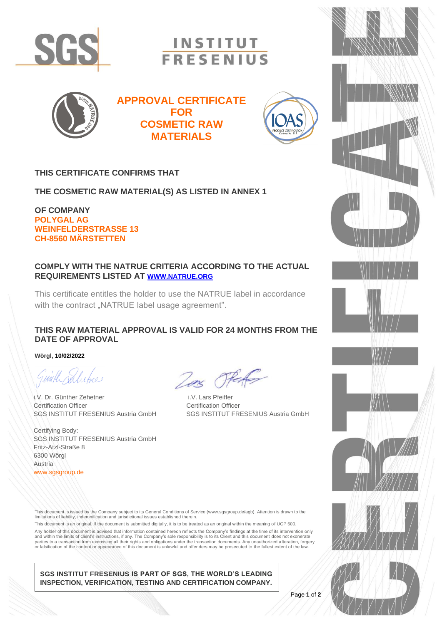

**INSTITUT FRESENIUS** 



**APPROVAL CERTIFICATE FOR COSMETIC RAW MATERIALS**



### **THIS CERTIFICATE CONFIRMS THAT**

**THE COSMETIC RAW MATERIAL(S) AS LISTED IN ANNEX 1**

**OF COMPANY POLYGAL AG WEINFELDERSTRASSE 13 CH-8560 MÄRSTETTEN**

#### **COMPLY WITH THE NATRUE CRITERIA ACCORDING TO THE ACTUAL REQUIREMENTS LISTED AT [WWW.NATRUE.ORG](http://www.natrue.org/)**

This certificate entitles the holder to use the NATRUE label in accordance with the contract "NATRUE label usage agreement".

#### **THIS RAW MATERIAL APPROVAL IS VALID FOR 24 MONTHS FROM THE DATE OF APPROVAL**

**Wörgl, 10/02/2022**

Guill rations

i.V. Dr. Günther Zehetner i.V. Lars Pfeiffer Certification Officer **Certification Officer** Certification Officer

Certifying Body: SGS INSTITUT FRESENIUS Austria GmbH Fritz-Atzl-Straße 8 6300 Wörgl Austria www.sgsgroup.de

Zas Oferfor

SGS INSTITUT FRESENIUS Austria GmbH SGS INSTITUT FRESENIUS Austria GmbH

This document is issued by the Company subject to its General Conditions of Service (www.sgsgroup.de/agb). Attention is drawn to the limitations of liability, indemnification and jurisdictional issues established therein.

This document is an original. If the document is submitted digitally, it is to be treated as an original within the meaning of UCP 600. Any holder of this document is advised that information contained hereon reflects the Company's findings at the time of its intervention only and within the limits of client's instructions, if any. The Company's sole responsibility is to its Client and this document does not exonerate parties to a transaction from exercising all their rights and obligations under the transaction documents. Any unauthorized alteration, forgery<br>or falsification of the content or appearance of this document is unlawful and

**SGS INSTITUT FRESENIUS IS PART OF SGS, THE WORLD'S LEADING INSPECTION, VERIFICATION, TESTING AND CERTIFICATION COMPANY.**